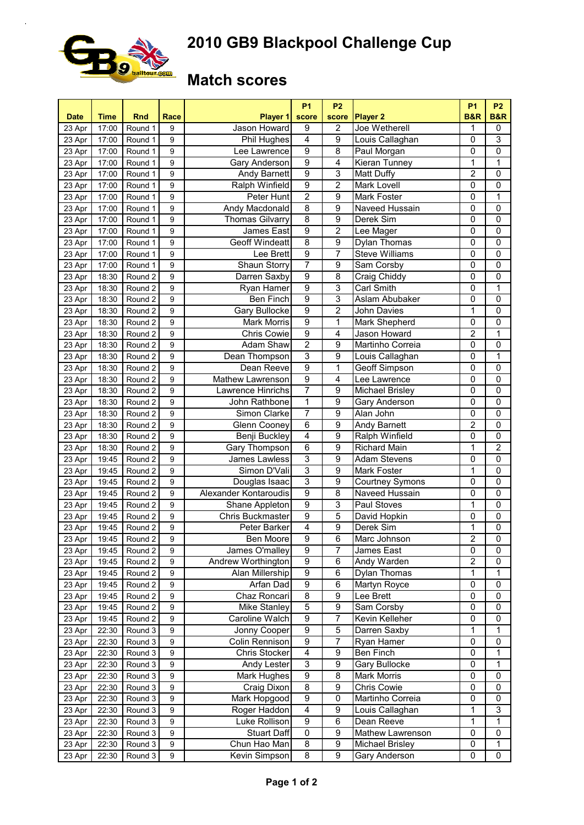

## **2010 GB9 Blackpool Challenge Cup**

## **Match scores**

| <b>Date</b> | <b>Time</b> | <b>Rnd</b>         | Race           | Player 1                | <b>P1</b><br>score | <b>P2</b><br>score | Player <sub>2</sub>               | <b>P1</b><br><b>B&amp;R</b> | <b>P2</b><br><b>B&amp;R</b> |
|-------------|-------------|--------------------|----------------|-------------------------|--------------------|--------------------|-----------------------------------|-----------------------------|-----------------------------|
| 23 Apr      | 17:00       | Round 1            | 9              | Jason Howard            | 9                  | $\overline{c}$     | Joe Wetherell                     | 1                           | 0                           |
| 23 Apr      | 17:00       | Round 1            | 9              | Phil Hughes             | $\overline{4}$     | $\overline{9}$     | Louis Callaghan                   | 0                           | 3                           |
| 23 Apr      | 17:00       | Round 1            | 9              | Lee Lawrence            | 9                  | $\overline{8}$     | Paul Morgan                       | $\mathbf 0$                 | $\pmb{0}$                   |
| 23 Apr      | 17:00       | Round 1            | 9              | Gary Anderson           | $\overline{9}$     | $\overline{4}$     | Kieran Tunney                     | $\overline{1}$              | $\overline{1}$              |
| 23 Apr      | 17:00       | Round 1            | 9              | Andy Barnett            | $\overline{9}$     | 3                  | Matt Duffy                        | $\overline{2}$              | $\pmb{0}$                   |
| 23 Apr      | 17:00       | Round 1            | 9              | Ralph Winfield          | 9                  | $\overline{2}$     | Mark Lovell                       | $\mathbf 0$                 | $\mathbf 0$                 |
| 23 Apr      | 17:00       | Round 1            | 9              | Peter Hunt              | $\overline{2}$     | 9                  | Mark Foster                       | $\mathbf 0$                 | $\mathbf{1}$                |
| 23 Apr      | 17:00       | Round 1            | 9              | Andy Macdonald          | $\overline{8}$     | 9                  | <b>Naveed Hussain</b>             | $\mathbf 0$                 | $\overline{0}$              |
| 23 Apr      | 17:00       | Round 1            | 9              | <b>Thomas Gilvarry</b>  | $\overline{8}$     | $\overline{9}$     | Derek Sim                         | $\overline{0}$              | $\overline{0}$              |
| 23 Apr      | 17:00       | Round 1            | 9              | James East              | 9                  | $\overline{2}$     | Lee Mager                         | $\mathbf 0$                 | $\overline{0}$              |
| 23 Apr      | 17:00       | Round 1            | 9              | <b>Geoff Windeatt</b>   | 8                  | 9                  | Dylan Thomas                      | $\mathbf 0$                 | $\pmb{0}$                   |
| 23 Apr      | 17:00       | Round 1            | 9              | Lee Brett               | 9                  | 7                  | <b>Steve Williams</b>             | $\mathbf 0$                 | $\overline{0}$              |
| 23 Apr      | 17:00       | Round 1            | 9              | Shaun Storry            | 7                  | 9                  | Sam Corsby                        | $\mathbf 0$                 | 0                           |
| 23 Apr      | 18:30       | Round 2            | 9              | Darren Saxby            | $\overline{9}$     | $\overline{8}$     | Craig Chiddy                      | $\overline{0}$              | 0                           |
| 23 Apr      | 18:30       | Round 2            | 9              | Ryan Hamer              | $\overline{9}$     | $\overline{3}$     | <b>Carl Smith</b>                 | $\overline{0}$              | 1                           |
|             |             |                    |                |                         | $\overline{9}$     | 3                  |                                   |                             | $\pmb{0}$                   |
| 23 Apr      | 18:30       | Round 2            | 9              | Ben Finch               | $\overline{9}$     |                    | Aslam Abubaker                    | 0                           |                             |
| 23 Apr      | 18:30       | Round 2            | 9              | Gary Bullocke           |                    | $\overline{2}$     | John Davies                       | 1                           | $\mathbf 0$                 |
| 23 Apr      | 18:30       | Round 2            | 9              | <b>Mark Morris</b>      | $\overline{9}$     | 1                  | Mark Shepherd                     | $\mathbf 0$                 | $\pmb{0}$                   |
| 23 Apr      | 18:30       | Round 2            | 9              | Chris Cowie             | 9                  | 4                  | Jason Howard                      | $\overline{2}$              | 1                           |
| 23 Apr      | 18:30       | Round 2            | 9              | Adam Shaw               | $\overline{2}$     | 9                  | Martinho Correia                  | 0                           | $\overline{0}$              |
| 23 Apr      | 18:30       | Round 2            | 9              | Dean Thompson           | $\overline{3}$     | 9                  | Louis Callaghan                   | 0                           | 1                           |
| 23 Apr      | 18:30       | Round 2            | 9              | Dean Reeve              | $\overline{9}$     | 1                  | Geoff Simpson                     | $\mathbf 0$                 | $\overline{0}$              |
| 23 Apr      | 18:30       | Round 2            | 9              | Mathew Lawrenson        | 9                  | 4                  | Lee Lawrence                      | $\mathbf 0$                 | $\mathbf 0$                 |
| 23 Apr      | 18:30       | Round 2            | 9              | Lawrence Hinrichs       | 7                  | $\overline{9}$     | Michael Brisley                   | $\mathbf 0$                 | $\overline{0}$              |
| 23 Apr      | 18:30       | Round 2            | 9              | John Rathbone           | 1                  | $\overline{9}$     | Gary Anderson                     | $\pmb{0}$                   | $\overline{0}$              |
| 23 Apr      | 18:30       | Round 2            | 9              | Simon Clarke            | 7                  | 9                  | Alan John                         | $\pmb{0}$                   | $\pmb{0}$                   |
| 23 Apr      | 18:30       | Round 2            | 9              | Glenn Cooney            | 6                  | 9                  | Andy Barnett                      | $\overline{2}$              | $\pmb{0}$                   |
| 23 Apr      | 18:30       | Round 2            | 9              | Benji Buckley           | 4                  | 9                  | Ralph Winfield                    | $\mathbf 0$                 | $\pmb{0}$                   |
| 23 Apr      | 18:30       | Round 2            | 9              | Gary Thompson           | $\overline{6}$     | 9                  | Richard Main                      | 1                           | $\overline{2}$              |
| 23 Apr      | 19:45       | Round 2            | 9              | James Lawless           | 3                  | 9                  | <b>Adam Stevens</b>               | $\mathbf 0$                 | 0                           |
| 23 Apr      | 19:45       | Round 2            | 9              | Simon D'Vali            | 3                  | 9                  | Mark Foster                       | 1                           | 0                           |
| 23 Apr      | 19:45       | Round 2            | 9              | Douglas Isaac           | $\overline{3}$     | 9                  | <b>Courtney Symons</b>            | $\mathbf 0$                 | $\mathbf 0$                 |
| 23 Apr      | 19:45       | Round 2            | 9              | Alexander Kontaroudis   | $\overline{9}$     | $\overline{8}$     | Naveed Hussain                    | $\overline{0}$              | $\mathbf 0$                 |
| 23 Apr      | 19:45       | Round 2            | 9              | Shane Appleton          | $\overline{9}$     | $\overline{3}$     | <b>Paul Stoves</b>                | 1                           | $\overline{0}$              |
| 23 Apr      | 19:45       | Round 2            | 9              | <b>Chris Buckmaster</b> | $\overline{9}$     | 5                  | David Hopkin                      | $\mathbf 0$                 | $\pmb{0}$                   |
| 23 Apr      | 19:45       | Round 2            | 9              | Peter Barker            | 4                  | 9                  | Derek Sim                         | 1                           | $\pmb{0}$                   |
| 23 Apr      | 19:45       | Round 2            | $\overline{9}$ | <b>Ben Moore</b>        | $\overline{9}$     | $6\overline{6}$    | Marc Johnson                      | $\overline{2}$              | $\overline{0}$              |
| 23 Apr      | 19:45       | Round 2            | 9              | James O'malley          | $\overline{9}$     | 7                  | James East                        | 0                           | $\mathbf 0$                 |
| 23 Apr      | 19:45       | Round 2            | 9              | Andrew Worthington      | 9                  | 6                  | Andy Warden                       | 2                           | 0                           |
| 23 Apr      | 19:45       | Round 2            | 9              | Alan Millership         | 9                  | 6                  | Dylan Thomas                      | 1                           | 1                           |
| 23 Apr      | 19:45       | Round 2            | 9              | Arfan Dad               | 9                  | 6                  | Martyn Royce                      | 0                           | 0                           |
| 23 Apr      | 19:45       | Round 2            | 9              | Chaz Roncari            | 8                  | 9                  | Lee Brett                         | 0                           | 0                           |
| 23 Apr      | 19:45       | Round 2            | 9              | Mike Stanley            | 5                  | $\overline{9}$     | Sam Corsby                        | 0                           | $\pmb{0}$                   |
| 23 Apr      | 19:45       | Round 2            | 9              | Caroline Walch          | 9                  | $\overline{7}$     | Kevin Kelleher                    | 0                           | 0                           |
| 23 Apr      | 22:30       | Round 3            | 9              | Jonny Cooper            | 9                  | 5                  | Darren Saxby                      | 1                           | 1                           |
| 23 Apr      | 22:30       | Round 3            | 9              | Colin Rennison          | 9                  | $\overline{7}$     | Ryan Hamer                        | 0                           | 0                           |
| 23 Apr      | 22:30       | Round 3            | 9              | Chris Stocker           | 4                  | 9                  | Ben Finch                         | $\pmb{0}$                   | 1                           |
|             |             | Round 3            | 9              |                         | 3                  | 9                  | Gary Bullocke                     | 0                           | 1                           |
| 23 Apr      | 22:30       |                    |                | Andy Lester             | 9                  | 8                  |                                   | $\pmb{0}$                   | 0                           |
| 23 Apr      | 22:30       | Round 3<br>Round 3 | 9<br>9         | Mark Hughes             | 8                  | 9                  | Mark Morris<br><b>Chris Cowie</b> | 0                           | 0                           |
| 23 Apr      | 22:30       |                    |                | Craig Dixon             |                    |                    |                                   |                             |                             |
| 23 Apr      | 22:30       | Round 3            | 9              | Mark Hopgood            | $\overline{9}$     | $\overline{0}$     | Martinho Correia                  | $\mathbf 0$                 | 0                           |
| 23 Apr      | 22:30       | Round 3            | 9              | Roger Haddon            | $\overline{4}$     | $\overline{9}$     | Louis Callaghan                   | 1                           | 3                           |
| 23 Apr      | 22:30       | Round 3            | 9              | Luke Rollison           | 9                  | 6                  | Dean Reeve                        | 1                           | 1                           |
| 23 Apr      | 22:30       | Round 3            | 9              | <b>Stuart Daff</b>      | 0                  | 9                  | Mathew Lawrenson                  | 0                           | 0                           |
| 23 Apr      | 22:30       | Round 3            | 9              | Chun Hao Man            | 8                  | 9                  | Michael Brisley                   | 0                           | 1                           |
| 23 Apr      | 22:30       | Round 3            | 9              | Kevin Simpson           | 8                  | 9                  | Gary Anderson                     | 0                           | 0                           |